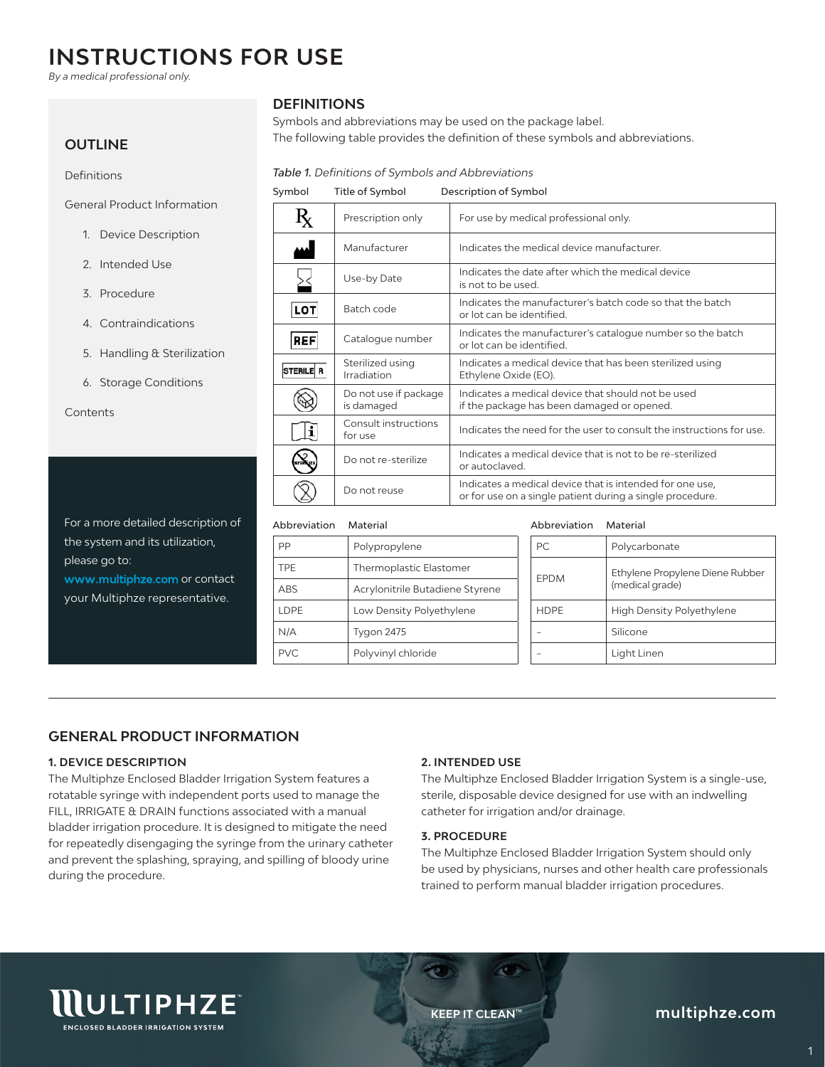# **INSTRUCTIONS FOR USE**

*By a medical professional only.*

## **OUTLINE**

Definitions

General Product Information

- 1. Device Description
- 2. Intended Use
- 3. Procedure
- 4. Contraindications
- 5. Handling & Sterilization
- 6. Storage Conditions

**Contents** 

For a more detailed description of the system and its utilization, please go to: www.multiphze.com or contact your Multiphze representative.

# **DEFINITIONS**

Symbols and abbreviations may be used on the package label. The following table provides the definition of these symbols and abbreviations.

## *Table 1. Definitions of Symbols and Abbreviations*

| Symbol           | Title of Symbol                     | Description of Symbol                                                                                                 |
|------------------|-------------------------------------|-----------------------------------------------------------------------------------------------------------------------|
| $R_{\rm X}$      | Prescription only                   | For use by medical professional only.                                                                                 |
|                  | Manufacturer                        | Indicates the medical device manufacturer.                                                                            |
|                  | Use-by Date                         | Indicates the date after which the medical device<br>is not to be used.                                               |
| LOT              | Batch code                          | Indicates the manufacturer's batch code so that the batch<br>or lot can be identified.                                |
| <b>REF</b>       | Catalogue number                    | Indicates the manufacturer's catalogue number so the batch<br>or lot can be identified.                               |
| <b>STERILE R</b> | Sterilized using<br>Irradiation     | Indicates a medical device that has been sterilized using<br>Ethylene Oxide (EO).                                     |
|                  | Do not use if package<br>is damaged | Indicates a medical device that should not be used<br>if the package has been damaged or opened.                      |
| i                | Consult instructions<br>for use     | Indicates the need for the user to consult the instructions for use.                                                  |
|                  | Do not re-sterilize                 | Indicates a medical device that is not to be re-sterilized<br>or autoclaved.                                          |
|                  | Do not reuse                        | Indicates a medical device that is intended for one use.<br>or for use on a single patient during a single procedure. |

### Abbreviation Material

| PP         | Polypropylene                   |  |
|------------|---------------------------------|--|
| <b>TPE</b> | Thermoplastic Elastomer         |  |
| <b>ABS</b> | Acrylonitrile Butadiene Styrene |  |
| LDPE       | Low Density Polyethylene        |  |
| N/A        | Tygon 2475                      |  |
| PVC.       | Polyvinyl chloride              |  |

#### Abbreviation Material

| PC.         | Polycarbonate                                      |  |  |
|-------------|----------------------------------------------------|--|--|
| <b>FPDM</b> | Ethylene Propylene Diene Rubber<br>(medical grade) |  |  |
| <b>HDPF</b> | <b>High Density Polyethylene</b>                   |  |  |
|             | Silicone                                           |  |  |
|             | Light Linen                                        |  |  |

# **GENERAL PRODUCT INFORMATION**

## **1. DEVICE DESCRIPTION**

The Multiphze Enclosed Bladder Irrigation System features a rotatable syringe with independent ports used to manage the FILL, IRRIGATE & DRAIN functions associated with a manual bladder irrigation procedure. It is designed to mitigate the need for repeatedly disengaging the syringe from the urinary catheter and prevent the splashing, spraying, and spilling of bloody urine during the procedure.

## **2. INTENDED USE**

The Multiphze Enclosed Bladder Irrigation System is a single-use, sterile, disposable device designed for use with an indwelling catheter for irrigation and/or drainage.

## **3. PROCEDURE**

The Multiphze Enclosed Bladder Irrigation System should only be used by physicians, nurses and other health care professionals trained to perform manual bladder irrigation procedures.



**KEEP IT CLEAN™** 

**multiphze.com**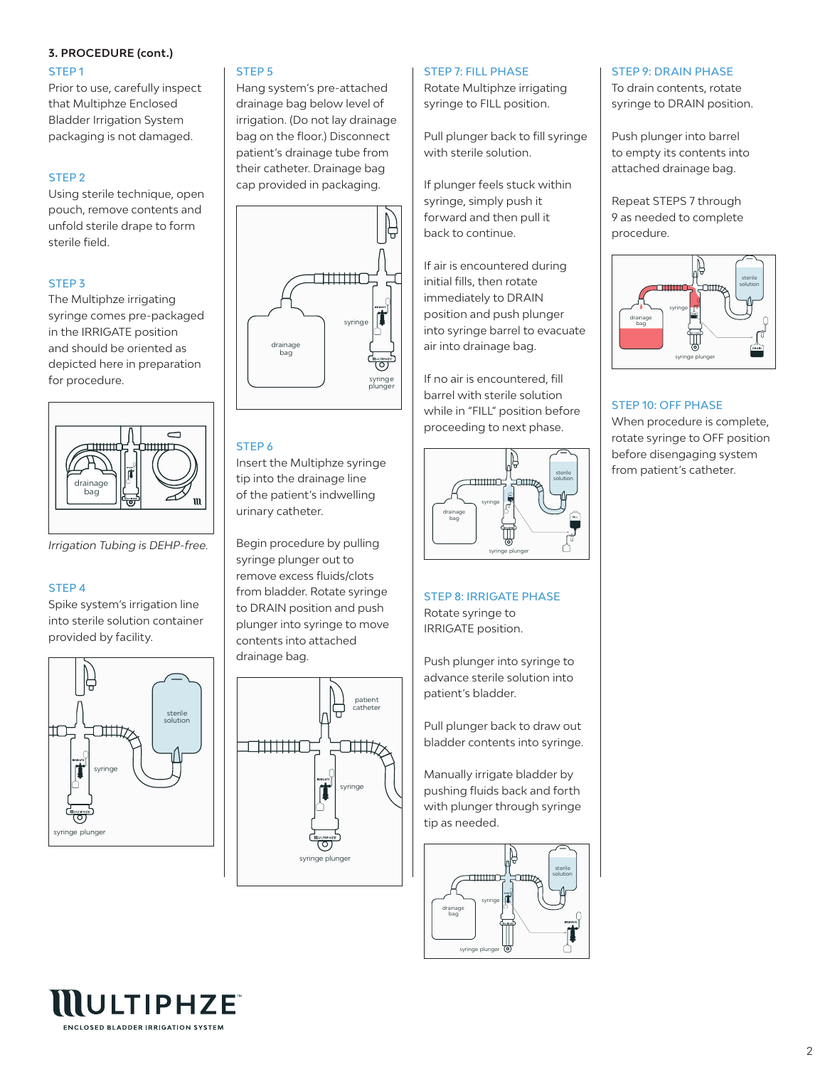## **3. PROCEDURE (cont.)**

### STEP 1

Prior to use, carefully inspect that Multiphze Enclosed Bladder Irrigation System packaging is not damaged.

## STEP 2

Using sterile technique, open pouch, remove contents and unfold sterile drape to form sterile field.

## STEP 3

The Multiphze irrigating syringe comes pre-packaged in the IRRIGATE position and should be oriented as depicted here in preparation for procedure.



*Irrigation Tubing is DEHP-free.*

### STEP 4

Spike system's irrigation line into sterile solution container provided by facility.



## STEP 5

Hang system's pre-attached drainage bag below level of irrigation. (Do not lay drainage bag on the floor.) Disconnect patient's drainage tube from their catheter. Drainage bag cap provided in packaging.



## STEP 6

Insert the Multiphze syringe tip into the drainage line of the patient's indwelling urinary catheter.

Begin procedure by pulling syringe plunger out to remove excess fluids/clots from bladder. Rotate syringe to DRAIN position and push plunger into syringe to move contents into attached drainage bag.



### STEP 7: FILL PHASE

Rotate Multiphze irrigating syringe to FILL position.

Pull plunger back to fill syringe with sterile solution.

If plunger feels stuck within syringe, simply push it forward and then pull it back to continue.

If air is encountered during initial fills, then rotate immediately to DRAIN position and push plunger into syringe barrel to evacuate air into drainage bag.

If no air is encountered, fill barrel with sterile solution while in "FILL" position before proceeding to next phase.



STEP 8: IRRIGATE PHASE Rotate syringe to IRRIGATE position.

Push plunger into syringe to advance sterile solution into patient's bladder.

Pull plunger back to draw out bladder contents into syringe.

Manually irrigate bladder by pushing fluids back and forth with plunger through syringe tip as needed.



#### STEP 9: DRAIN PHASE

To drain contents, rotate syringe to DRAIN position.

Push plunger into barrel to empty its contents into attached drainage bag.

Repeat STEPS 7 through 9 as needed to complete procedure.



#### STEP 10: OFF PHASE

When procedure is complete, rotate syringe to OFF position before disengaging system from patient's catheter.